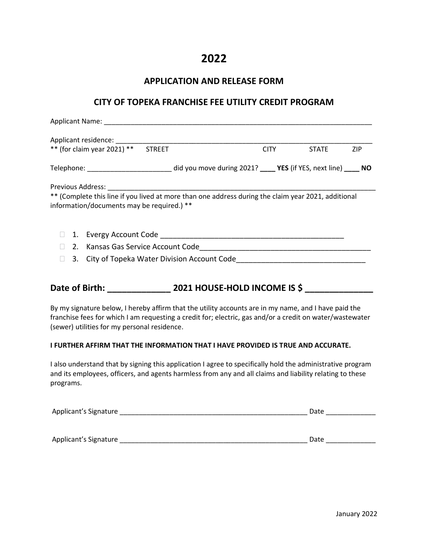## **2022**

#### **APPLICATION AND RELEASE FORM**

#### **CITY OF TOPEKA FRANCHISE FEE UTILITY CREDIT PROGRAM**

| Applicant Name: Name: Name and Applicant Name and Applicant Name and Applicant Manual Applicant Manual Applicant Manual Applicant Manual Applicant Manual Applicant Manual Applicant Manual Applicant Manual Applicant Manual                                    |  |             |              |     |
|------------------------------------------------------------------------------------------------------------------------------------------------------------------------------------------------------------------------------------------------------------------|--|-------------|--------------|-----|
|                                                                                                                                                                                                                                                                  |  |             |              |     |
| ** (for claim year 2021) ** STREET                                                                                                                                                                                                                               |  | <b>CITY</b> | <b>STATE</b> | ZIP |
| Telephone: __________________________________did you move during 2021? _____ YES (if YES, next line) _____ NO                                                                                                                                                    |  |             |              |     |
| ** (Complete this line if you lived at more than one address during the claim year 2021, additional<br>information/documents may be required.) **                                                                                                                |  |             |              |     |
|                                                                                                                                                                                                                                                                  |  |             |              |     |
|                                                                                                                                                                                                                                                                  |  |             |              |     |
| 3. City of Topeka Water Division Account Code __________________________________<br>П                                                                                                                                                                            |  |             |              |     |
| Date of Birth: 2021 HOUSE-HOLD INCOME IS \$                                                                                                                                                                                                                      |  |             |              |     |
| By my signature below, I hereby affirm that the utility accounts are in my name, and I have paid the<br>franchise fees for which I am requesting a credit for; electric, gas and/or a credit on water/wastewater<br>(sewer) utilities for my personal residence. |  |             |              |     |
| I FURTHER AFFIRM THAT THE INFORMATION THAT I HAVE PROVIDED IS TRUE AND ACCURATE.                                                                                                                                                                                 |  |             |              |     |
| I also understand that by signing this application I agree to specifically hold the administrative program<br>and its employees, officers, and agents harmless from any and all claims and liability relating to these<br>programs.                              |  |             |              |     |
|                                                                                                                                                                                                                                                                  |  |             |              |     |

Applicant's Signature \_\_\_\_\_\_\_\_\_\_\_\_\_\_\_\_\_\_\_\_\_\_\_\_\_\_\_\_\_\_\_\_\_\_\_\_\_\_\_\_\_\_\_\_\_\_\_\_\_ Date \_\_\_\_\_\_\_\_\_\_\_\_\_

Applicant's Signature \_\_\_\_\_\_\_\_\_\_\_\_\_\_\_\_\_\_\_\_\_\_\_\_\_\_\_\_\_\_\_\_\_\_\_\_\_\_\_\_\_\_\_\_\_\_\_\_\_ Date \_\_\_\_\_\_\_\_\_\_\_\_\_